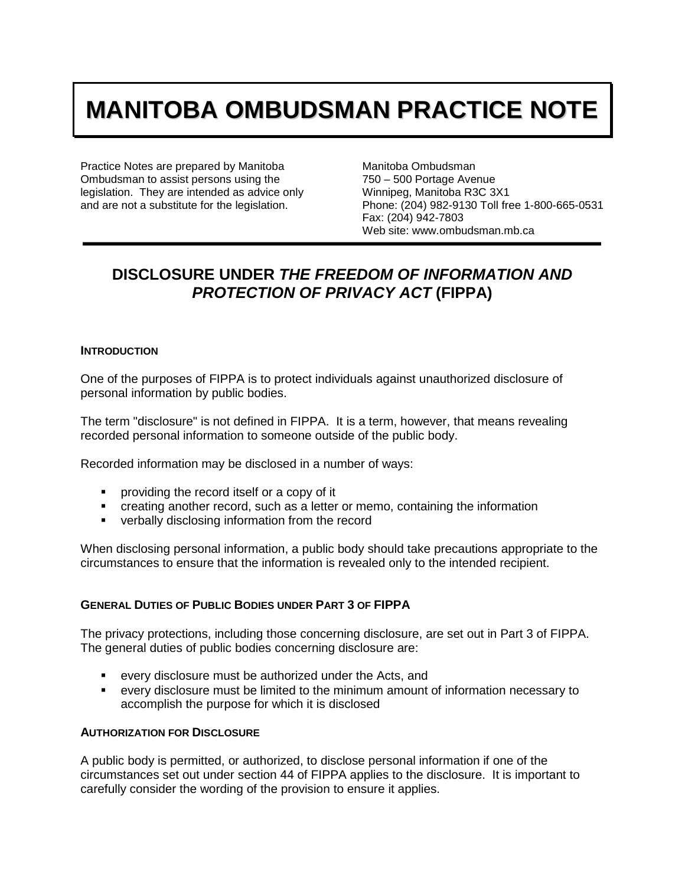# **MANITOBA OMBUDSMAN PRACTICE NOTE**

Practice Notes are prepared by Manitoba Ombudsman to assist persons using the legislation. They are intended as advice only and are not a substitute for the legislation.

Manitoba Ombudsman 750 – 500 Portage Avenue Winnipeg, Manitoba R3C 3X1 Phone: (204) 982-9130 Toll free 1-800-665-0531 Fax: (204) 942-7803 Web site: www.ombudsman.mb.ca

# **DISCLOSURE UNDER** *THE FREEDOM OF INFORMATION AND PROTECTION OF PRIVACY ACT* **(FIPPA)**

#### **INTRODUCTION**

One of the purposes of FIPPA is to protect individuals against unauthorized disclosure of personal information by public bodies.

The term "disclosure" is not defined in FIPPA. It is a term, however, that means revealing recorded personal information to someone outside of the public body.

Recorded information may be disclosed in a number of ways:

- **Peroviding the record itself or a copy of it**
- creating another record, such as a letter or memo, containing the information
- **verbally disclosing information from the record**

When disclosing personal information, a public body should take precautions appropriate to the circumstances to ensure that the information is revealed only to the intended recipient.

### **GENERAL DUTIES OF PUBLIC BODIES UNDER PART 3 OF FIPPA**

The privacy protections, including those concerning disclosure, are set out in Part 3 of FIPPA. The general duties of public bodies concerning disclosure are:

- every disclosure must be authorized under the Acts, and
- every disclosure must be limited to the minimum amount of information necessary to accomplish the purpose for which it is disclosed

#### **AUTHORIZATION FOR DISCLOSURE**

A public body is permitted, or authorized, to disclose personal information if one of the circumstances set out under section 44 of FIPPA applies to the disclosure. It is important to carefully consider the wording of the provision to ensure it applies.